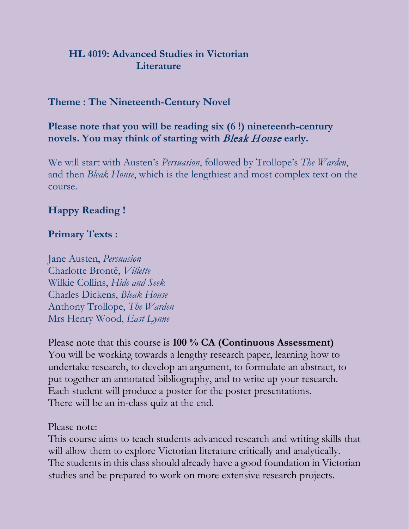### **HL 4019: Advanced Studies in Victorian Literature**

### **Theme : The Nineteenth-Century Novel**

### **Please note that you will be reading six (6 !) nineteenth-century novels. You may think of starting with** Bleak House **early.**

We will start with Austen's *Persuasion*, followed by Trollope's *The Warden*, and then *Bleak House*, which is the lengthiest and most complex text on the course.

### **Happy Reading !**

#### **Primary Texts :**

Jane Austen, *Persuasion* Charlotte Brontë, *Villette* Wilkie Collins, *Hide and Seek* Charles Dickens, *Bleak House* Anthony Trollope, *The Warden* Mrs Henry Wood, *East Lynne*

Please note that this course is **100 % CA (Continuous Assessment)** You will be working towards a lengthy research paper, learning how to undertake research, to develop an argument, to formulate an abstract, to put together an annotated bibliography, and to write up your research. Each student will produce a poster for the poster presentations. There will be an in-class quiz at the end.

Please note:

This course aims to teach students advanced research and writing skills that will allow them to explore Victorian literature critically and analytically. The students in this class should already have a good foundation in Victorian studies and be prepared to work on more extensive research projects.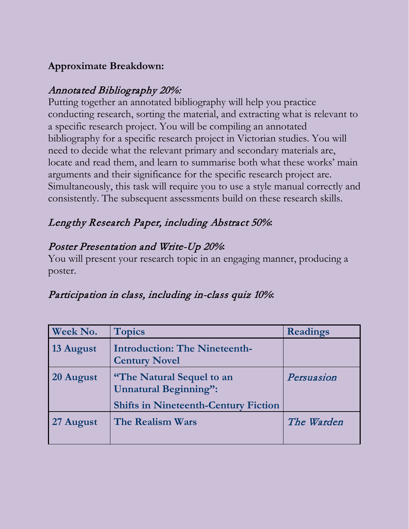## **Approximate Breakdown:**

## Annotated Bibliography 20%:

Putting together an annotated bibliography will help you practice conducting research, sorting the material, and extracting what is relevant to a specific research project. You will be compiling an annotated bibliography for a specific research project in Victorian studies. You will need to decide what the relevant primary and secondary materials are, locate and read them, and learn to summarise both what these works' main arguments and their significance for the specific research project are. Simultaneously, this task will require you to use a style manual correctly and consistently. The subsequent assessments build on these research skills.

## Lengthy Research Paper, including Abstract 50%**:**

## Poster Presentation and Write-Up 20%**:**

You will present your research topic in an engaging manner, producing a poster.

# Participation in class, including in-class quiz 10%**:**

| Week No.  | <b>Topics</b>                                                                                                   | <b>Readings</b> |
|-----------|-----------------------------------------------------------------------------------------------------------------|-----------------|
| 13 August | <b>Introduction: The Nineteenth-</b><br><b>Century Novel</b>                                                    |                 |
| 20 August | <b>"The Natural Sequel to an</b><br><b>Unnatural Beginning":</b><br><b>Shifts in Nineteenth-Century Fiction</b> | Persuasion      |
| 27 August | <b>The Realism Wars</b>                                                                                         | The Warden      |